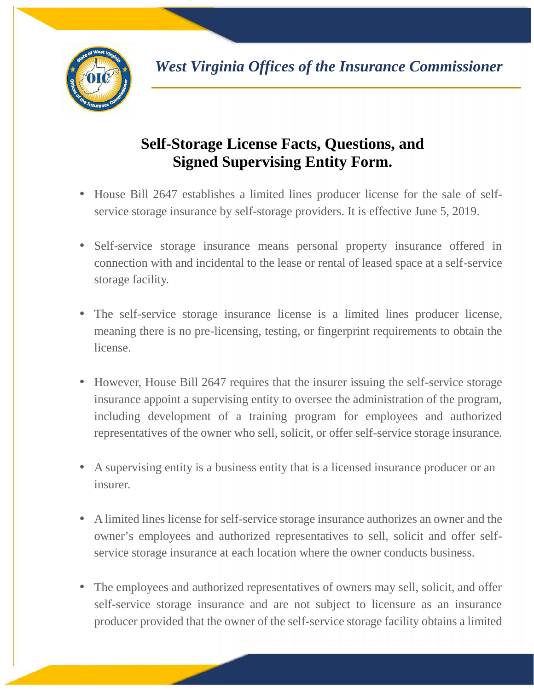

## **Self-Storage License Facts, Questions, and Signed Supervising Entity Form.**

- House Bill 2647 establishes a limited lines producer license for the sale of self service storage insurance by self-storage providers. It is effective June 5, 2019.
- Self-service storage insurance means personal property insurance offered in connection with and incidental to the lease or rental of leased space at a self-service storage facility.
- The self-service storage insurance license is a limited lines producer license, meaning there is no pre-licensing, testing, or fingerprint requirements to obtain the license.
- However, House Bill 2647 requires that the insurer issuing the self-service storage insurance appoint a supervising entity to oversee the administration of the program, including development of a training program for employees and authorized representatives of the owner who sell, solicit, or offer self-service storage insurance.
- A supervising entity is a business entity that is a licensed insurance producer or an insurer.
- A limited lines license for self-service storage insurance authorizes an owner and the owner's employees and authorized representatives to sell, solicit and offer self service storage insurance at each location where the owner conducts business.
- The employees and authorized representatives of owners may sell, solicit, and offer self-service storage insurance and are not subject to licensure as an insurance producer provided that the owner of the self-service storage facility obtains a limited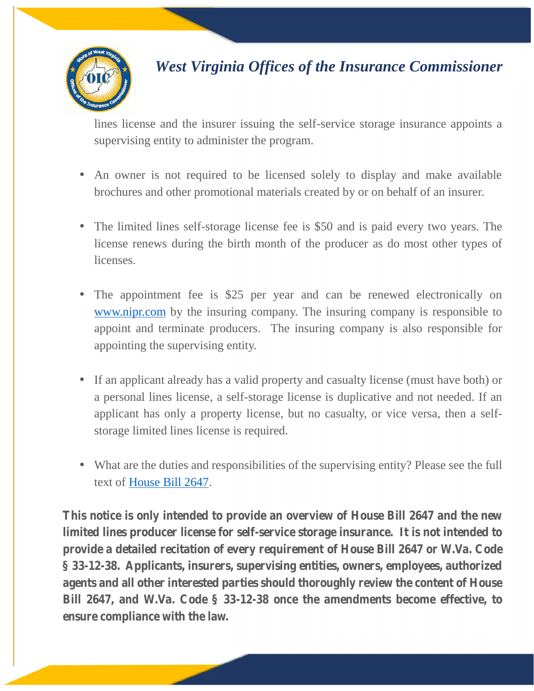

## *West Virginia Offices of the Insurance Commissioner*

lines license and the insurer issuing the self-service storage insurance appoints a supervising entity to administer the program.

- An owner is not required to be licensed solely to display and make available brochures and other promotional materials created by or on behalf of an insurer.
- The limited lines self-storage license fee is \$50 and is paid every two years. The license renews during the birth month of the producer as do most other types of licenses.
- The appointment fee is \$25 per year and can be renewed electronically on www.nipr.com by the insuring company. The insuring company is responsible to appoint and terminate producers. The insuring company is also responsible for appointing the supervising entity.
- If an applicant already has a valid property and casualty license (must have both) or a personal lines license, a self-storage license is duplicative and not needed. If an applicant has only a property license, but no casualty, or vice versa, then a self storage limited lines license is required.
- What are the duties and responsibilities of the supervising entity? Please see the full text of [House Bill 2647.](www.wvlegislature.gov/Bill_Text_HTML/2019_SESSIONS/RS/bills/hb2647%20ENR.pdf)

**This notice is only intended to provide an overview of House Bill 2647 and the new limited lines producer license for self-service storage insurance. It is not intended to provide a detailed recitation of every requirement of House Bill 2647 or W.Va. Code § 33-12-38. Applicants, insurers, supervising entities, owners, employees, authorized agents and all other interested parties should thoroughly review the content of House Bill 2647, and W.Va. Code § 33-12-38 once the amendments become effective, to ensure compliance with the law.**